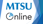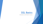# D2L Basics

Orientation to the Tools for Success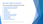## D2L Tools: Table of Contents\*\*

### **Click on the Link Below to Go Directly to that Topic:**

- [News/Announcement Tool and Widgets](#page-3-0)
- [Your D2L Calendar/Course Schedule](#page-4-0)
- **[Checklists](#page-5-0)**
- **[Discussions](#page-6-0)**
- [Uploading Images](#page-7-0)
- [Quizzes/Exams](#page-8-0)
- [Submitting Assignments to Dropbox](#page-9-0)
- [Verifying Your Dropbox Submission](#page-10-0)
- [Viewing Feedback](#page-11-0)
- Pulse [the D2L App](#page-12-0)
- [D2L Help & the ITD Help Desk](#page-13-0)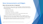### <span id="page-3-0"></span>News/Announcements and Widgets

### **What is this tool and why is it important?**

- ➢ After selecting your course, on your course homepage, any News/Announcements from your instructor will appear this page. Instructors use this D2L tool for many of the following reasons:
	- Introduction to the course
	- ➢ Module/Topic introductions
	- $\triangleright$  Important dates, instructions, or reminders
	- $\triangleright$  Information from your instructor pertinent to the materials being covered
	- $\triangleright$  Instructor availability if different from the syllabus
- Widgets may be used on the course homepage in order to highlight important information such as the course syllabus, instructor contact info, and your calendar.
- $\triangleright$  After checking for News/Announcements, click on the Content tab at the top left of the page on the navbar to access the content for your course.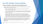### <span id="page-4-0"></span>Your D2L Calendar/Course Schedule

#### **Is there a calendar to keep track of when things are due?**

- $\triangleright$  If your instructor has set due dates in D2L, you will see these dates on the course calendar. This may be found in 3 ways:
	- ➢ On your course homepage scroll down until you see the Calendar widget on the bottom or right side of the page.
	- $\triangleright$  On your course homepage or the content page under the Communication dropdown menu on the navbar, you can also select Calendar and you will be redirected to the calendar for the course.
	- $\triangleright$  On the Content page, you can view upcoming events by choosing the Course Schedule option on the left side of the page. You can choose to organize your calendar by day, week, month, or as items in a list. You can also choose to view all events or filter your calendar with the options listed. Be mindful that your calendar keeps track of dates for all courses you are registered for that use this D2L tool.
- $\triangleright$  As a student, you can also add tasks you need to remember for your course by accessing the calendar via the Communication dropdown, then scrolling to the Task dialogue box (on the bottom right) and typing in a task in the "add a task" dialogue box.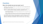### <span id="page-5-0"></span>**Checklists**

### **What is the checklist tool and why should I use it?**

- $\triangleright$  Checklists, when used by instructors, are a great way to see the expectations for each module in your course.
- $\triangleright$  Checklists state each task required of the student for that module regardless of type (i.e., required readings, viewings, discussions, assignments, etc.)
	- $\triangleright$  For maximum benefit, you should proceed through each task in the checklist in the order in which it is listed.
	- $\triangleright$  As you complete each task be sure to check off that item in your checklist, thereby helping you keep track of what you have or have not completed for that module.
- $\triangleright$  The checklist is there to help you stay organized, to assist in making sure that all items are completed in the order determined by the instructor, and to aid in adherence to due dates and deadlines, which are listed in your course calendar.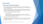### <span id="page-6-0"></span>**Discussions**

### **How do I post and reply to discussions?**

- $\triangleright$  To access discussions, you many select the discussion from the content page, or click on the Assessments or Communication dropdown menu on the navbar and then select the discussions link.
- $\triangleright$  You should see discussion topics posted by the instructor. When posting your initial response, in most instances, you will need to start a thread for that topic before seeing your fellow peers posts. For your initial post:
	- $\triangleright$  Click on the topic and then click Start a Thread.
	- ➢ Enter your Subject
	- $\triangleright$  Enter your response. It is always encouraged that you write your responses in another location then copy/paste into D2L – you do not want to have technology eat your responses (it is VERY rare, but it happens).
- $\triangleright$  When you are ready to submit, click post.
- To respond to a post, find who you would like to reply to and click reply to thread, then follow the directions as with initial postings. *You should NEVER post a reply by starting a new thread.*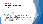# <span id="page-7-0"></span>Uploading Images

### **What is the easiest way to upload an image?**

- $\triangleright$  D2L allows for easy submission of images. Faculty may use this option for discussion postings or assignments
- $\triangleright$  If you are asked to submit an image as part of an assessment in a course, you can take the photo with your phone then upload that photo to your computer. Once uploaded to your computer do the following:
- $\triangleright$  In the submission box for the assessment (regardless of type):
	- $\triangleright$  Select the camera icon
	- ➢ Select my computer
	- $\triangleright$  You can drag & drop your photo in the upload box or select the upload button, choose your photo from your computer and hit "add"
	- $\triangleright$  In the "provide alternative text" prompt select the "image is decorative" box. Your photo should appear in the submission box.
- You may also upload your image as a URL. After selecting the camera icon enter the URL of the photo and select "Add."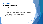### <span id="page-8-0"></span>Quizzes/Exams

#### **How do quizzes and exams work?**

- ➢ Click on the Quiz on the Content page, or click the Assessments dropdown menu on the navbar and then select the Quizzes link.
- $\triangleright$  Once on the quizzes page, select the quiz/exam you need to take.
- Read the instructions and details for the quiz/exam and when you're ready to begin, click Start Quiz.
	- $\triangleright$  Many quizzes/exams have time limits. As you progress through the quiz, be mindful of this.
- When you are ready to submit the quiz/exam, click submit quiz.
- To view your quiz attempt:
	- $\triangleright$  Select the dropdown menu next to the quiz in which you want to view your attempt
	- $\triangleright$  Select Submissions, then
	- $\triangleright$  Select the attempt you want to view

<sup>\*\*</sup>This resource is provided to online students for assistance with D2L tools often used in online courses. The tools described in this document 1) may not be used in your course or, 2) a tool used in your course may not be included on this list.\*\*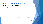# <span id="page-9-0"></span>Submitting Assignments to Dropbox

### **How do I submit my work the dropbox?**

- $\triangleright$  Click on the Assessments dropdown menu on the navbar and then select the Dropbox link.
- $\triangleright$  On the Dropbox page, click on the submission folder you want to submit to; the name of the submission folder should correspond to the name of the assignment you are wanting to submit.
- $\triangleright$  Click Add a File to browse for the file(s) you want to submit. (You may have multiple files to submit.).
	- $\triangleright$  Click the Upload button and select the file(s) you want to submit.
	- $\triangleright$  Then click Add. You should now see your selected file(s) listed. Enter any comments you want to include with your submission in the comments dialogue box.
- ➢ Click Submit. You *must* click submit to complete the submission of your selected file(s).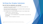# <span id="page-10-0"></span>Verifying Your Dropbox Submission

#### **How do I know my submission was received?**

- $\triangleright$  You should receive a dropbox submission to your course email receipt if you submitted your assignment correctly.
- $\triangleright$  You can also view your dropbox history for any submission folder by selecting the View History button on the dropbox page.
- $\triangleright$  From this page, you can view the following information for each dropbox folder:
	- $\triangleright$  Completion Status what did you submit
	- $\triangleright$  Score the score received on the assignment
	- $\triangleright$  Evaluation status lists the feedback given to you and whether or not you have read that feedback
	- $\triangleright$  Due Date the date the assignment is/was due.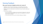# <span id="page-11-0"></span>Viewing Feedback

### **Why access instructor feedback and how do I access it?**

- $\triangleright$  Feedback is a part of the learning process. It is provided so you have the opportunity to see in what you are excelling and what needs improvement.
- ➢ Feedback may also include specific instructions from your Instructor about your submission.
- $\triangleright$  To access your feedback:
	- $\triangleright$  Click on the assessments dropdown menu and select the dropbox link, then select the unread link in the evaluation status column of the assignment for which you want to view the feedback.
	- $\triangleright$  Click the Done button when you have finished reading your feedback.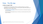## <span id="page-12-0"></span>Pulse – The D2L App

### **Is there an app for D2L**

- ➢ The Brightspace Pulse app helps students to organize and plan for upcoming assignments, view new grade items in real-time, get D2L notifications quickly and track important dates. To get started:
	- ➢ Click [Brightspace Pulse Mobile](https://elearn.mtsu.edu/d2l/eP/presentations/presentation_preview_popup.d2l?presId=147253&pageId=116353&d2l_stateScopes=%7B1%3A%5B%27gridpagenum%27,%27search%27,%27pagenum%27%5D,2%3A%5B%27lcs%27%5D,3%3A%5B%27grid%27,%27pagesize%27,%27htmleditor%27,%27hpg%27%5D%7D&d2l_stateGroups=&d2l_statePageId=3024356&d2l_change=0&ou=6706) and follow the instructions to download the app and select your school.
	- ➢ Once the app has downloaded and you've chosen your school proceed with your D2L login information.